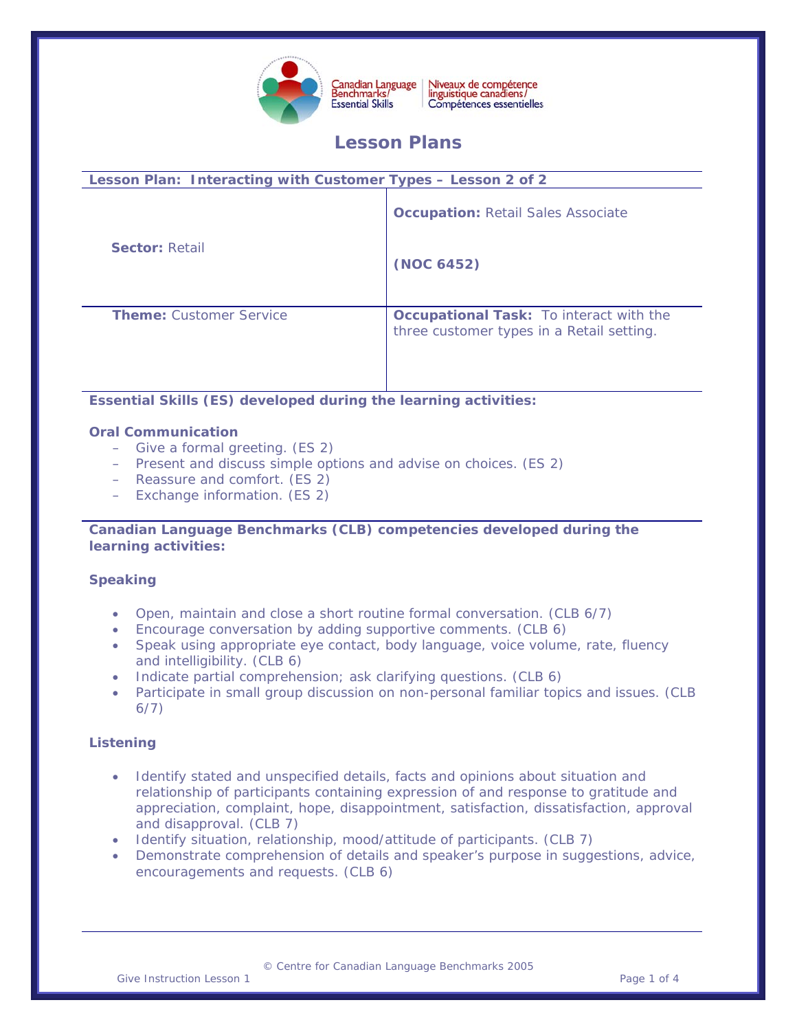

Canadian Language<br>Benchmarks/ Niveaux de compétence<br>linguistique canadiens/ Compétences essentielles

# **Lesson Plans**

| Lesson Plan: Interacting with Customer Types - Lesson 2 of 2 |                                                                                             |
|--------------------------------------------------------------|---------------------------------------------------------------------------------------------|
|                                                              | <b>Occupation: Retail Sales Associate</b>                                                   |
| <b>Sector: Retail</b>                                        | (NOC 6452)                                                                                  |
| <b>Theme:</b> Customer Service                               | <b>Occupational Task:</b> To interact with the<br>three customer types in a Retail setting. |
|                                                              |                                                                                             |

**Essential Skills (ES) developed during the learning activities:** 

## **Oral Communication**

- Give a formal greeting. (ES 2)
- Present and discuss simple options and advise on choices. (ES 2)
- Reassure and comfort. (ES 2)
- Exchange information. (ES 2)

#### **Canadian Language Benchmarks (CLB) competencies developed during the learning activities:**

# **Speaking**

- Open, maintain and close a short routine formal conversation. (CLB 6/7)
- Encourage conversation by adding supportive comments. (CLB 6)
- Speak using appropriate eye contact, body language, voice volume, rate, fluency and intelligibility. (CLB 6)
- Indicate partial comprehension; ask clarifying questions. (CLB 6)
- Participate in small group discussion on non-personal familiar topics and issues. (CLB 6/7)

# **Listening**

- Identify stated and unspecified details, facts and opinions about situation and relationship of participants containing expression of and response to gratitude and appreciation, complaint, hope, disappointment, satisfaction, dissatisfaction, approval and disapproval. (CLB 7)
- Identify situation, relationship, mood/attitude of participants. (CLB 7)
- Demonstrate comprehension of details and speaker's purpose in suggestions, advice, encouragements and requests. (CLB 6)

© Centre for Canadian Language Benchmarks 2005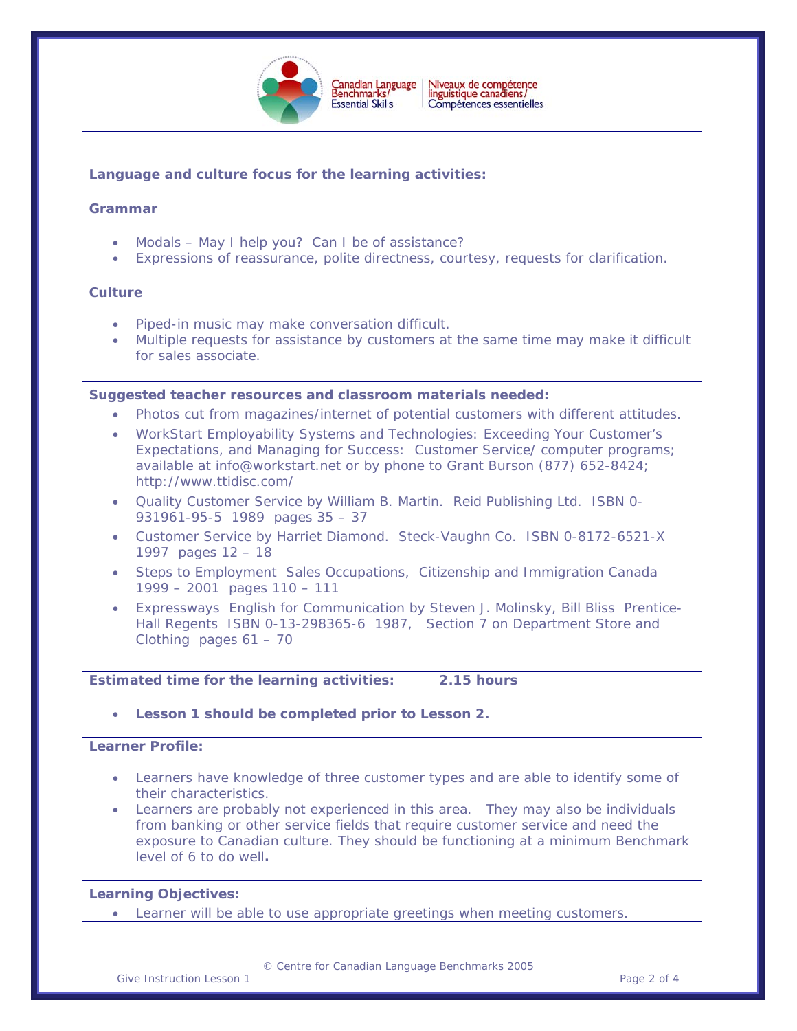

 $\overline{a}$ 

## **Language and culture focus for the learning activities:**

### **Grammar**

- Modals May I help you? Can I be of assistance?
- Expressions of reassurance, polite directness, courtesy, requests for clarification.

#### **Culture**

- Piped-in music may make conversation difficult.
- Multiple requests for assistance by customers at the same time may make it difficult for sales associate.

#### **Suggested teacher resources and classroom materials needed:**

- Photos cut from magazines/internet of potential customers with different attitudes.
- WorkStart Employability Systems and Technologies: Exceeding Your Customer's Expectations, and Managing for Success: Customer Service/ computer programs; available at [info@workstart.net](mailto:info@workstart.net) or by phone to Grant Burson (877) 652-8424; http://www.ttidisc.com/
- Quality Customer Service by William B. Martin. Reid Publishing Ltd. ISBN 0- 931961-95-5 1989 pages 35 – 37
- Customer Service by Harriet Diamond. Steck-Vaughn Co. ISBN 0-8172-6521-X 1997 pages 12 – 18
- Steps to Employment Sales Occupations, Citizenship and Immigration Canada 1999 – 2001 pages 110 – 111
- Expressways English for Communication by Steven J. Molinsky, Bill Bliss Prentice-Hall Regents ISBN 0-13-298365-6 1987, Section 7 on Department Store and Clothing pages 61 – 70

#### **Estimated time for the learning activities: 2.15 hours**

• **Lesson 1 should be completed prior to Lesson 2.** 

#### **Learner Profile:**

- Learners have knowledge of three customer types and are able to identify some of their characteristics.
- Learners are probably not experienced in this area. They may also be individuals from banking or other service fields that require customer service and need the exposure to Canadian culture. They should be functioning at a minimum Benchmark level of 6 to do well**.**

#### **Learning Objectives:**

• Learner will be able to use appropriate greetings when meeting customers.

© Centre for Canadian Language Benchmarks 2005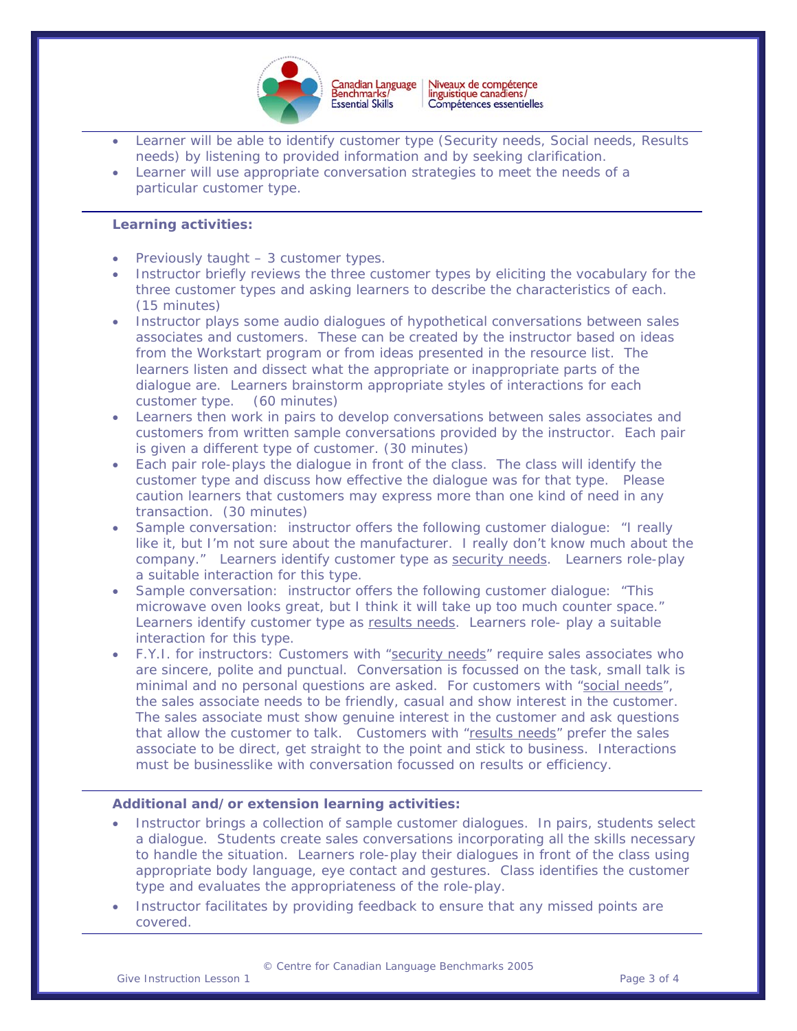

- $\overline{a}$ Learner will be able to identify customer type (Security needs, Social needs, Results needs) by listening to provided information and by seeking clarification.
- Learner will use appropriate conversation strategies to meet the needs of a particular customer type.

#### **Learning activities:**

- Previously taught 3 customer types.
- Instructor briefly reviews the three customer types by eliciting the vocabulary for the three customer types and asking learners to describe the characteristics of each. (15 minutes)
- Instructor plays some audio dialogues of hypothetical conversations between sales associates and customers. These can be created by the instructor based on ideas from the Workstart program or from ideas presented in the resource list. The learners listen and dissect what the appropriate or inappropriate parts of the dialogue are. Learners brainstorm appropriate styles of interactions for each customer type. (60 minutes)
- Learners then work in pairs to develop conversations between sales associates and customers from written sample conversations provided by the instructor. Each pair is given a different type of customer. (30 minutes)
- Each pair role-plays the dialogue in front of the class. The class will identify the customer type and discuss how effective the dialogue was for that type. Please caution learners that customers may express more than one kind of need in any transaction. (30 minutes)
- Sample conversation: instructor offers the following customer dialogue: "I really like it, but I'm not sure about the manufacturer. I really don't know much about the company." Learners identify customer type as security needs. Learners role-play a suitable interaction for this type.
- Sample conversation: instructor offers the following customer dialogue: "This microwave oven looks great, but I think it will take up too much counter space." Learners identify customer type as results needs. Learners role- play a suitable interaction for this type.
- F.Y.I. for instructors: Customers with "security needs" require sales associates who are sincere, polite and punctual. Conversation is focussed on the task, small talk is minimal and no personal questions are asked. For customers with "social needs", the sales associate needs to be friendly, casual and show interest in the customer. The sales associate must show genuine interest in the customer and ask questions that allow the customer to talk. Customers with "results needs" prefer the sales associate to be direct, get straight to the point and stick to business. Interactions must be businesslike with conversation focussed on results or efficiency.

#### **Additional and/or extension learning activities:**

- Instructor brings a collection of sample customer dialogues. In pairs, students select a dialogue. Students create sales conversations incorporating all the skills necessary to handle the situation. Learners role-play their dialogues in front of the class using appropriate body language, eye contact and gestures. Class identifies the customer type and evaluates the appropriateness of the role-play.
- Instructor facilitates by providing feedback to ensure that any missed points are covered.